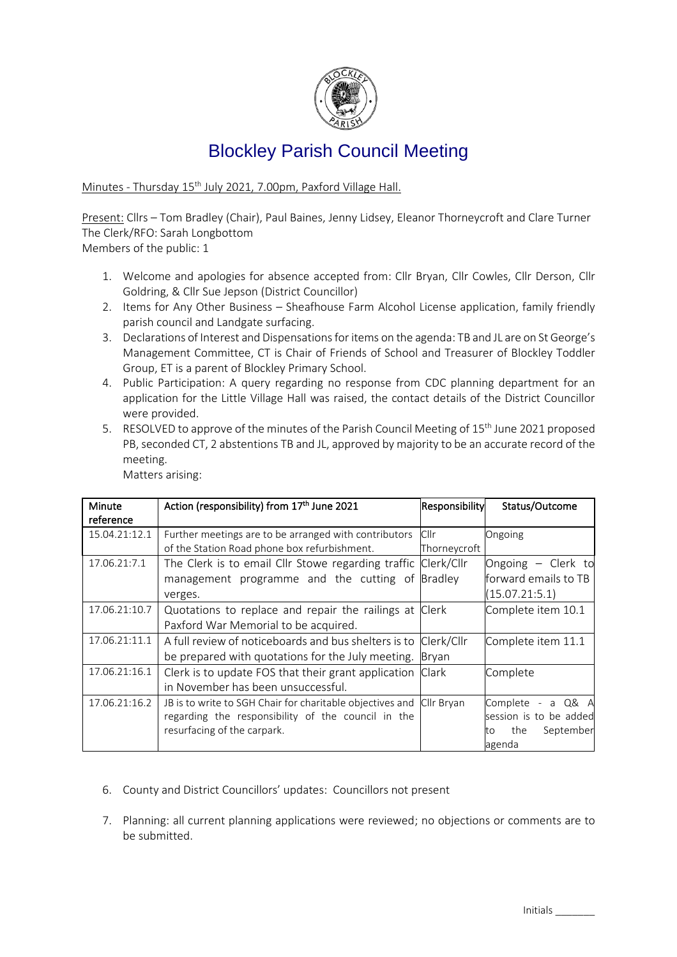

## Blockley Parish Council Meeting

Minutes - Thursday 15 th July 2021, 7.00pm, Paxford Village Hall.

Present: Cllrs – Tom Bradley (Chair), Paul Baines, Jenny Lidsey, Eleanor Thorneycroft and Clare Turner The Clerk/RFO: Sarah Longbottom

Members of the public: 1

- 1. Welcome and apologies for absence accepted from: Cllr Bryan, Cllr Cowles, Cllr Derson, Cllr Goldring, & Cllr Sue Jepson (District Councillor)
- 2. Items for Any Other Business Sheafhouse Farm Alcohol License application, family friendly parish council and Landgate surfacing.
- 3. Declarations of Interest and Dispensations for items on the agenda: TB and JL are on St George's Management Committee, CT is Chair of Friends of School and Treasurer of Blockley Toddler Group, ET is a parent of Blockley Primary School.
- 4. Public Participation: A query regarding no response from CDC planning department for an application for the Little Village Hall was raised, the contact details of the District Councillor were provided.
- 5. RESOLVED to approve of the minutes of the Parish Council Meeting of 15<sup>th</sup> June 2021 proposed PB, seconded CT, 2 abstentions TB and JL, approved by majority to be an accurate record of the meeting.

| Matters arising: |  |
|------------------|--|
|------------------|--|

| Minute        | Action (responsibility) from 17th June 2021                          | Responsibility | Status/Outcome         |
|---------------|----------------------------------------------------------------------|----------------|------------------------|
| reference     |                                                                      |                |                        |
| 15.04.21:12.1 | Further meetings are to be arranged with contributors                | Cllr           | Ongoing                |
|               | of the Station Road phone box refurbishment.                         | Thorneycroft   |                        |
| 17.06.21:7.1  | The Clerk is to email Cllr Stowe regarding traffic Clerk/Cllr        |                | Ongoing - Clerk to     |
|               | management programme and the cutting of Bradley                      |                | forward emails to TB   |
|               | verges.                                                              |                | (15.07.21:5.1)         |
| 17.06.21:10.7 | Quotations to replace and repair the railings at Clerk               |                | Complete item 10.1     |
|               | Paxford War Memorial to be acquired.                                 |                |                        |
| 17.06.21:11.1 | A full review of noticeboards and bus shelters is to Clerk/Cllr      |                | Complete item 11.1     |
|               | be prepared with quotations for the July meeting.                    | Brvan          |                        |
| 17.06.21:16.1 | Clerk is to update FOS that their grant application Clark            |                | Complete               |
|               | in November has been unsuccessful.                                   |                |                        |
| 17.06.21:16.2 | JB is to write to SGH Chair for charitable objectives and Cllr Bryan |                | Complete<br>- a Q& A   |
|               | regarding the responsibility of the council in the                   |                | session is to be added |
|               | resurfacing of the carpark.                                          |                | the<br>September<br>to |
|               |                                                                      |                | agenda                 |

- 6. County and District Councillors' updates: Councillors not present
- 7. Planning: all current planning applications were reviewed; no objections or comments are to be submitted.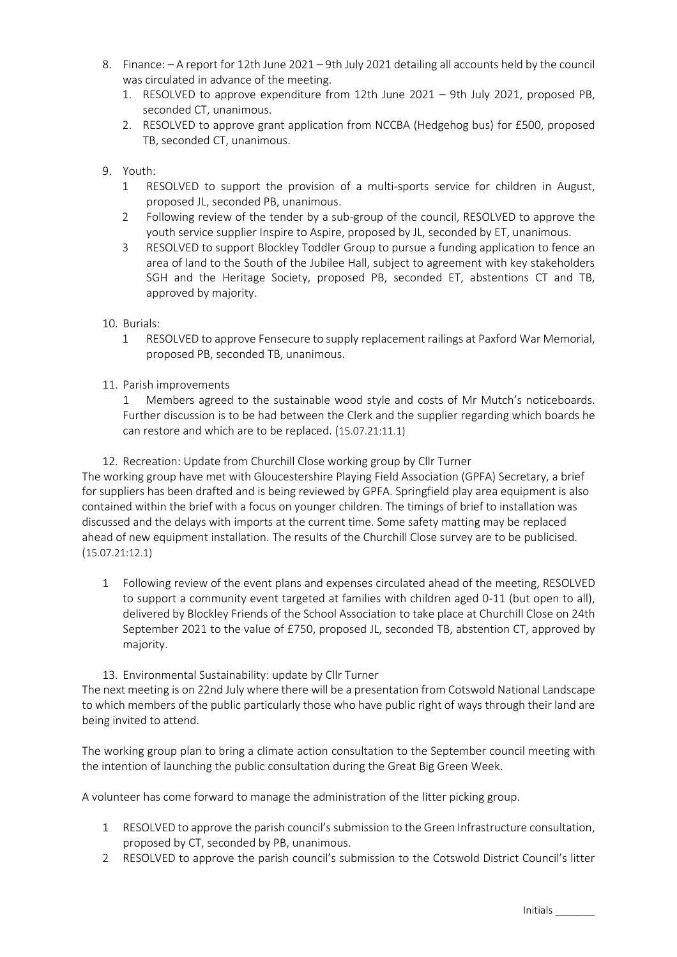- 8. Finance: A report for 12th June 2021 9th July 2021 detailing all accounts held by the council was circulated in advance of the meeting.
	- 1. RESOLVED to approve expenditure from 12th June 2021 9th July 2021, proposed PB, seconded CT, unanimous.
	- 2. RESOLVED to approve grant application from NCCBA (Hedgehog bus) for £500, proposed TB, seconded CT, unanimous.
- 9. Youth:
	- 1 RESOLVED to support the provision of a multi-sports service for children in August, proposed JL, seconded PB, unanimous.
	- 2 Following review of the tender by a sub-group of the council, RESOLVED to approve the youth service supplier Inspire to Aspire, proposed by JL, seconded by ET, unanimous.
	- 3 RESOLVED to support Blockley Toddler Group to pursue a funding application to fence an area of land to the South of the Jubilee Hall, subject to agreement with key stakeholders SGH and the Heritage Society, proposed PB, seconded ET, abstentions CT and TB, approved by majority.
- 10. Burials:
	- 1 RESOLVED to approve Fensecure to supply replacement railings at Paxford War Memorial, proposed PB, seconded TB, unanimous.
- 11. Parish improvements

1 Members agreed to the sustainable wood style and costs of Mr Mutch's noticeboards. Further discussion is to be had between the Clerk and the supplier regarding which boards he can restore and which are to be replaced. (15.07.21:11.1)

12. Recreation: Update from Churchill Close working group by Cllr Turner

The working group have met with Gloucestershire Playing Field Association (GPFA) Secretary, a brief for suppliers has been drafted and is being reviewed by GPFA. Springfield play area equipment is also contained within the brief with a focus on younger children. The timings of brief to installation was discussed and the delays with imports at the current time. Some safety matting may be replaced ahead of new equipment installation. The results of the Churchill Close survey are to be publicised. (15.07.21:12.1)

- 1 Following review of the event plans and expenses circulated ahead of the meeting, RESOLVED to support a community event targeted at families with children aged 0-11 (but open to all), delivered by Blockley Friends of the School Association to take place at Churchill Close on 24th September 2021 to the value of £750, proposed JL, seconded TB, abstention CT, approved by majority.
- 13. Environmental Sustainability: update by Cllr Turner

The next meeting is on 22nd July where there will be a presentation from Cotswold National Landscape to which members of the public particularly those who have public right of ways through their land are being invited to attend.

The working group plan to bring a climate action consultation to the September council meeting with the intention of launching the public consultation during the Great Big Green Week.

A volunteer has come forward to manage the administration of the litter picking group.

- 1 RESOLVED to approve the parish council's submission to the Green Infrastructure consultation, proposed by CT, seconded by PB, unanimous.
- 2 RESOLVED to approve the parish council's submission to the Cotswold District Council's litter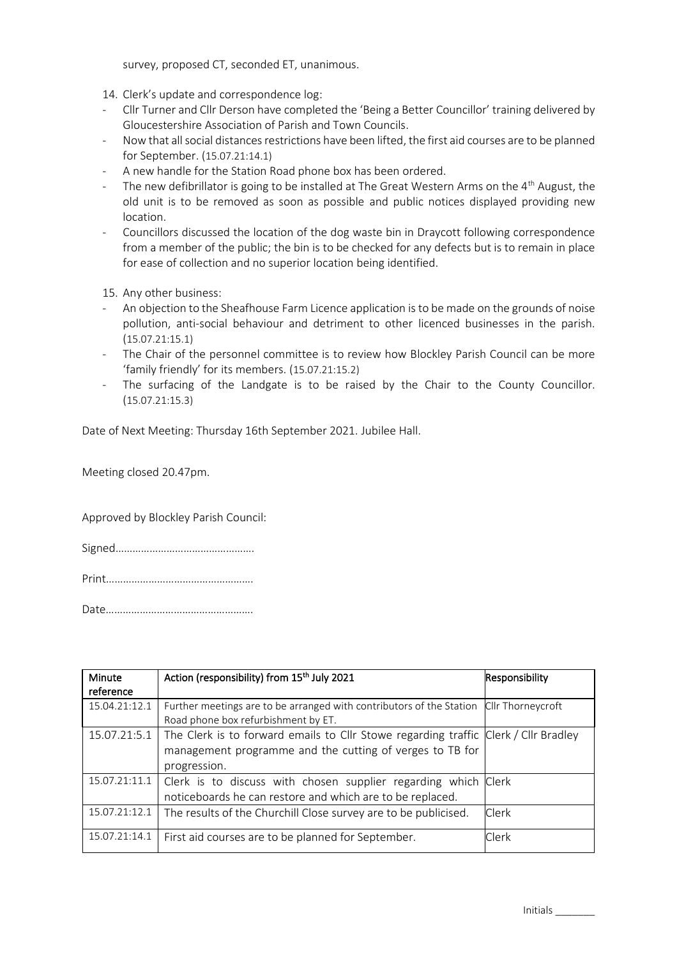survey, proposed CT, seconded ET, unanimous.

14. Clerk's update and correspondence log:

- Cllr Turner and Cllr Derson have completed the 'Being a Better Councillor' training delivered by Gloucestershire Association of Parish and Town Councils.
- Now that all social distances restrictions have been lifted, the first aid courses are to be planned for September. (15.07.21:14.1)
- A new handle for the Station Road phone box has been ordered.
- The new defibrillator is going to be installed at The Great Western Arms on the 4<sup>th</sup> August, the old unit is to be removed as soon as possible and public notices displayed providing new location.
- Councillors discussed the location of the dog waste bin in Draycott following correspondence from a member of the public; the bin is to be checked for any defects but is to remain in place for ease of collection and no superior location being identified.

15. Any other business:

- An objection to the Sheafhouse Farm Licence application is to be made on the grounds of noise pollution, anti-social behaviour and detriment to other licenced businesses in the parish. (15.07.21:15.1)
- The Chair of the personnel committee is to review how Blockley Parish Council can be more 'family friendly' for its members. (15.07.21:15.2)
- The surfacing of the Landgate is to be raised by the Chair to the County Councillor. (15.07.21:15.3)

Date of Next Meeting: Thursday 16th September 2021. Jubilee Hall.

Meeting closed 20.47pm.

Approved by Blockley Parish Council:

Signed………………………………………….

Print…………………………………………….

Date…………………………………………….

| Minute        | Action (responsibility) from 15 <sup>th</sup> July 2021                             | Responsibility    |
|---------------|-------------------------------------------------------------------------------------|-------------------|
| reference     |                                                                                     |                   |
| 15.04.21:12.1 | Further meetings are to be arranged with contributors of the Station                | Cllr Thorneycroft |
|               | Road phone box refurbishment by ET.                                                 |                   |
| 15.07.21:5.1  | The Clerk is to forward emails to Cllr Stowe regarding traffic Clerk / Cllr Bradley |                   |
|               | management programme and the cutting of verges to TB for                            |                   |
|               | progression.                                                                        |                   |
| 15.07.21:11.1 | Clerk is to discuss with chosen supplier regarding which Clerk                      |                   |
|               | noticeboards he can restore and which are to be replaced.                           |                   |
| 15.07.21:12.1 | The results of the Churchill Close survey are to be publicised.                     | Clerk             |
|               |                                                                                     |                   |
| 15.07.21:14.1 | First aid courses are to be planned for September.                                  | Clerk             |